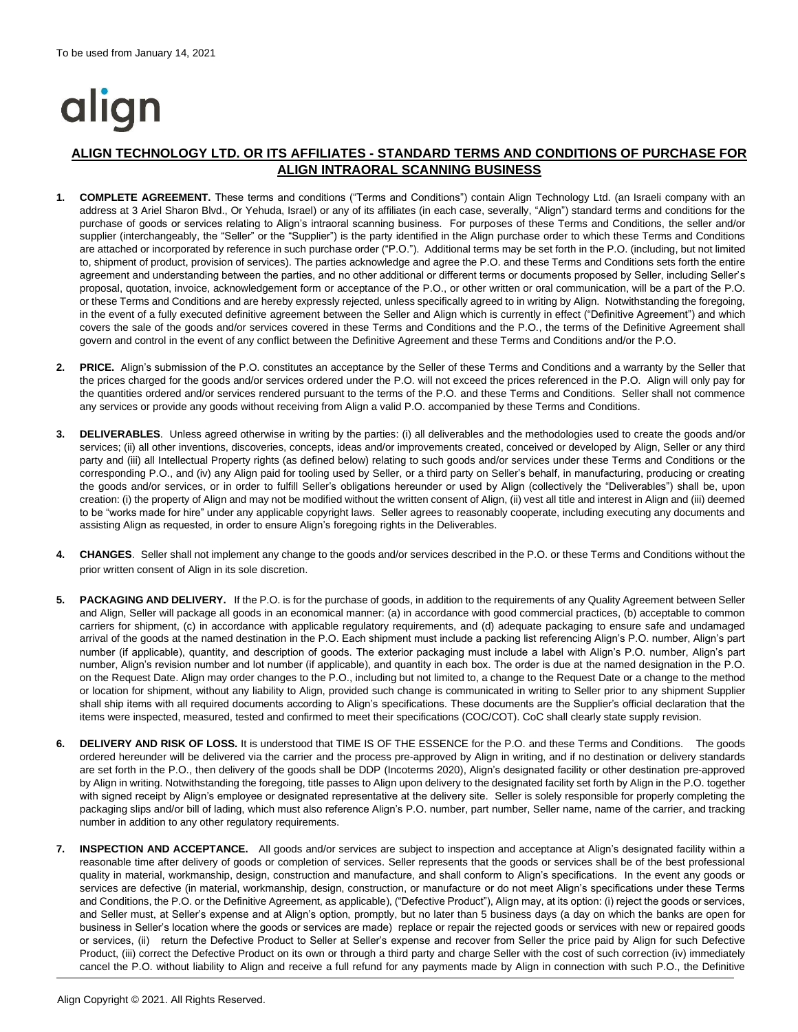# align

## **ALIGN TECHNOLOGY LTD. OR ITS AFFILIATES - STANDARD TERMS AND CONDITIONS OF PURCHASE FOR ALIGN INTRAORAL SCANNING BUSINESS**

- **1. COMPLETE AGREEMENT.** These terms and conditions ("Terms and Conditions") contain Align Technology Ltd. (an Israeli company with an address at 3 Ariel Sharon Blvd., Or Yehuda, Israel) or any of its affiliates (in each case, severally, "Align") standard terms and conditions for the purchase of goods or services relating to Align's intraoral scanning business. For purposes of these Terms and Conditions, the seller and/or supplier (interchangeably, the "Seller" or the "Supplier") is the party identified in the Align purchase order to which these Terms and Conditions are attached or incorporated by reference in such purchase order ("P.O."). Additional terms may be set forth in the P.O. (including, but not limited to, shipment of product, provision of services). The parties acknowledge and agree the P.O. and these Terms and Conditions sets forth the entire agreement and understanding between the parties, and no other additional or different terms or documents proposed by Seller, including Seller's proposal, quotation, invoice, acknowledgement form or acceptance of the P.O., or other written or oral communication, will be a part of the P.O. or these Terms and Conditions and are hereby expressly rejected, unless specifically agreed to in writing by Align. Notwithstanding the foregoing, in the event of a fully executed definitive agreement between the Seller and Align which is currently in effect ("Definitive Agreement") and which covers the sale of the goods and/or services covered in these Terms and Conditions and the P.O., the terms of the Definitive Agreement shall govern and control in the event of any conflict between the Definitive Agreement and these Terms and Conditions and/or the P.O.
- **2. PRICE.** Align's submission of the P.O. constitutes an acceptance by the Seller of these Terms and Conditions and a warranty by the Seller that the prices charged for the goods and/or services ordered under the P.O. will not exceed the prices referenced in the P.O. Align will only pay for the quantities ordered and/or services rendered pursuant to the terms of the P.O. and these Terms and Conditions. Seller shall not commence any services or provide any goods without receiving from Align a valid P.O. accompanied by these Terms and Conditions.
- **3. DELIVERABLES**. Unless agreed otherwise in writing by the parties: (i) all deliverables and the methodologies used to create the goods and/or services; (ii) all other inventions, discoveries, concepts, ideas and/or improvements created, conceived or developed by Align, Seller or any third party and (iii) all Intellectual Property rights (as defined below) relating to such goods and/or services under these Terms and Conditions or the corresponding P.O., and (iv) any Align paid for tooling used by Seller, or a third party on Seller's behalf, in manufacturing, producing or creating the goods and/or services, or in order to fulfill Seller's obligations hereunder or used by Align (collectively the "Deliverables") shall be, upon creation: (i) the property of Align and may not be modified without the written consent of Align, (ii) vest all title and interest in Align and (iii) deemed to be "works made for hire" under any applicable copyright laws. Seller agrees to reasonably cooperate, including executing any documents and assisting Align as requested, in order to ensure Align's foregoing rights in the Deliverables.
- **4. CHANGES**. Seller shall not implement any change to the goods and/or services described in the P.O. or these Terms and Conditions without the prior written consent of Align in its sole discretion.
- **5. PACKAGING AND DELIVERY.** If the P.O. is for the purchase of goods, in addition to the requirements of any Quality Agreement between Seller and Align, Seller will package all goods in an economical manner: (a) in accordance with good commercial practices, (b) acceptable to common carriers for shipment, (c) in accordance with applicable regulatory requirements, and (d) adequate packaging to ensure safe and undamaged arrival of the goods at the named destination in the P.O. Each shipment must include a packing list referencing Align's P.O. number, Align's part number (if applicable), quantity, and description of goods. The exterior packaging must include a label with Align's P.O. number, Align's part number, Align's revision number and lot number (if applicable), and quantity in each box. The order is due at the named designation in the P.O. on the Request Date. Align may order changes to the P.O., including but not limited to, a change to the Request Date or a change to the method or location for shipment, without any liability to Align, provided such change is communicated in writing to Seller prior to any shipment Supplier shall ship items with all required documents according to Align's specifications. These documents are the Supplier's official declaration that the items were inspected, measured, tested and confirmed to meet their specifications (COC/COT). CoC shall clearly state supply revision.
- **6. DELIVERY AND RISK OF LOSS.** It is understood that TIME IS OF THE ESSENCE for the P.O. and these Terms and Conditions. The goods ordered hereunder will be delivered via the carrier and the process pre-approved by Align in writing, and if no destination or delivery standards are set forth in the P.O., then delivery of the goods shall be DDP (Incoterms 2020), Align's designated facility or other destination pre-approved by Align in writing. Notwithstanding the foregoing, title passes to Align upon delivery to the designated facility set forth by Align in the P.O. together with signed receipt by Align's employee or designated representative at the delivery site. Seller is solely responsible for properly completing the packaging slips and/or bill of lading, which must also reference Align's P.O. number, part number, Seller name, name of the carrier, and tracking number in addition to any other regulatory requirements.
- **7. INSPECTION AND ACCEPTANCE.** All goods and/or services are subject to inspection and acceptance at Align's designated facility within a reasonable time after delivery of goods or completion of services. Seller represents that the goods or services shall be of the best professional quality in material, workmanship, design, construction and manufacture, and shall conform to Align's specifications. In the event any goods or services are defective (in material, workmanship, design, construction, or manufacture or do not meet Align's specifications under these Terms and Conditions, the P.O. or the Definitive Agreement, as applicable), ("Defective Product"), Align may, at its option: (i) reject the goods or services, and Seller must, at Seller's expense and at Align's option, promptly, but no later than 5 business days (a day on which the banks are open for business in Seller's location where the goods or services are made) replace or repair the rejected goods or services with new or repaired goods or services, (ii) return the Defective Product to Seller at Seller's expense and recover from Seller the price paid by Align for such Defective Product, (iii) correct the Defective Product on its own or through a third party and charge Seller with the cost of such correction (iv) immediately cancel the P.O. without liability to Align and receive a full refund for any payments made by Align in connection with such P.O., the Definitive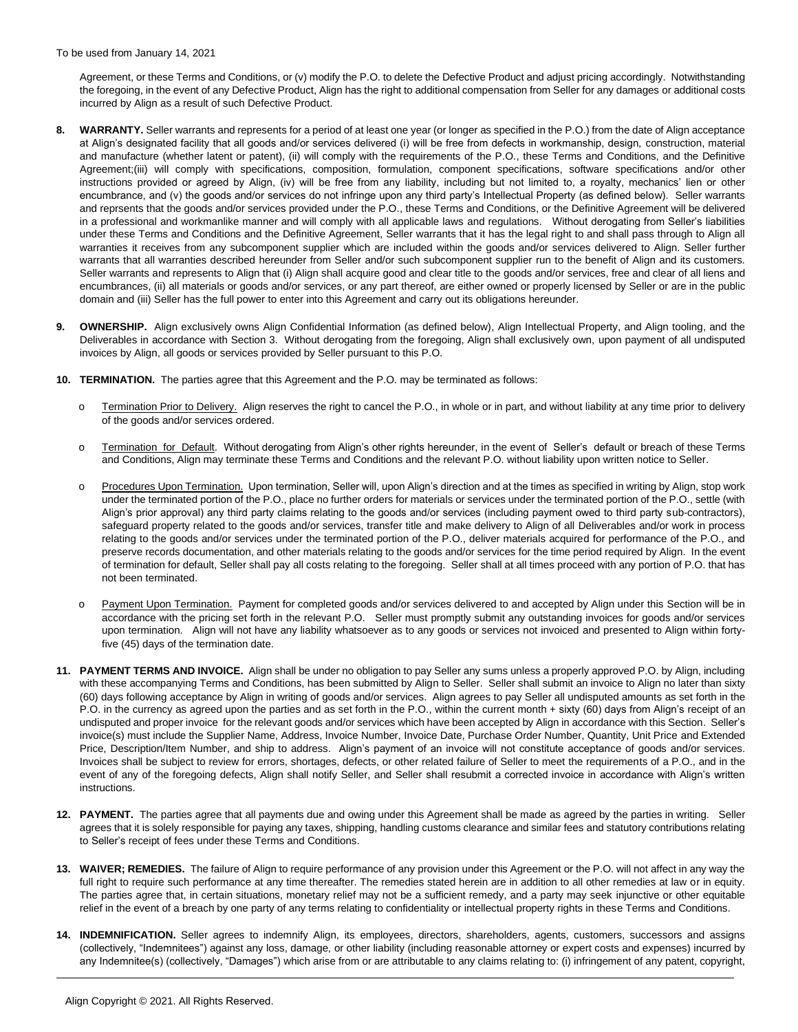Agreement, or these Terms and Conditions, or (v) modify the P.O. to delete the Defective Product and adjust pricing accordingly. Notwithstanding the foregoing, in the event of any Defective Product, Align has the right to additional compensation from Seller for any damages or additional costs incurred by Align as a result of such Defective Product.

- **8. WARRANTY.** Seller warrants and represents for a period of at least one year (or longer as specified in the P.O.) from the date of Align acceptance at Align's designated facility that all goods and/or services delivered (i) will be free from defects in workmanship, design, construction, material and manufacture (whether latent or patent), (ii) will comply with the requirements of the P.O., these Terms and Conditions, and the Definitive Agreement;(iii) will comply with specifications, composition, formulation, component specifications, software specifications and/or other instructions provided or agreed by Align, (iv) will be free from any liability, including but not limited to, a royalty, mechanics' lien or other encumbrance, and (v) the goods and/or services do not infringe upon any third party's Intellectual Property (as defined below). Seller warrants and reprsents that the goods and/or services provided under the P.O., these Terms and Conditions, or the Definitive Agreement will be delivered in a professional and workmanlike manner and will comply with all applicable laws and regulations. Without derogating from Seller's liabilities under these Terms and Conditions and the Definitive Agreement, Seller warrants that it has the legal right to and shall pass through to Align all warranties it receives from any subcomponent supplier which are included within the goods and/or services delivered to Align. Seller further warrants that all warranties described hereunder from Seller and/or such subcomponent supplier run to the benefit of Align and its customers. Seller warrants and represents to Align that (i) Align shall acquire good and clear title to the goods and/or services, free and clear of all liens and encumbrances, (ii) all materials or goods and/or services, or any part thereof, are either owned or properly licensed by Seller or are in the public domain and (iii) Seller has the full power to enter into this Agreement and carry out its obligations hereunder.
- **9. OWNERSHIP.** Align exclusively owns Align Confidential Information (as defined below), Align Intellectual Property, and Align tooling, and the Deliverables in accordance with Section 3. Without derogating from the foregoing, Align shall exclusively own, upon payment of all undisputed invoices by Align, all goods or services provided by Seller pursuant to this P.O.
- **10. TERMINATION.** The parties agree that this Agreement and the P.O. may be terminated as follows:
	- o Termination Prior to Delivery. Align reserves the right to cancel the P.O., in whole or in part, and without liability at any time prior to delivery of the goods and/or services ordered.
	- o Termination for Default. Without derogating from Align's other rights hereunder, in the event of Seller's default or breach of these Terms and Conditions, Align may terminate these Terms and Conditions and the relevant P.O. without liability upon written notice to Seller.
	- o Procedures Upon Termination. Upon termination, Seller will, upon Align's direction and at the times as specified in writing by Align, stop work under the terminated portion of the P.O., place no further orders for materials or services under the terminated portion of the P.O., settle (with Align's prior approval) any third party claims relating to the goods and/or services (including payment owed to third party sub-contractors), safeguard property related to the goods and/or services, transfer title and make delivery to Align of all Deliverables and/or work in process relating to the goods and/or services under the terminated portion of the P.O., deliver materials acquired for performance of the P.O., and preserve records documentation, and other materials relating to the goods and/or services for the time period required by Align. In the event of termination for default, Seller shall pay all costs relating to the foregoing. Seller shall at all times proceed with any portion of P.O. that has not been terminated.
	- o Payment Upon Termination. Payment for completed goods and/or services delivered to and accepted by Align under this Section will be in accordance with the pricing set forth in the relevant P.O. Seller must promptly submit any outstanding invoices for goods and/or services upon termination. Align will not have any liability whatsoever as to any goods or services not invoiced and presented to Align within fortyfive (45) days of the termination date.
- **11. PAYMENT TERMS AND INVOICE.** Align shall be under no obligation to pay Seller any sums unless a properly approved P.O. by Align, including with these accompanying Terms and Conditions, has been submitted by Align to Seller. Seller shall submit an invoice to Align no later than sixty (60) days following acceptance by Align in writing of goods and/or services. Align agrees to pay Seller all undisputed amounts as set forth in the P.O. in the currency as agreed upon the parties and as set forth in the P.O., within the current month + sixty (60) days from Align's receipt of an undisputed and proper invoice for the relevant goods and/or services which have been accepted by Align in accordance with this Section. Seller's invoice(s) must include the Supplier Name, Address, Invoice Number, Invoice Date, Purchase Order Number, Quantity, Unit Price and Extended Price, Description/Item Number, and ship to address. Align's payment of an invoice will not constitute acceptance of goods and/or services. Invoices shall be subject to review for errors, shortages, defects, or other related failure of Seller to meet the requirements of a P.O., and in the event of any of the foregoing defects, Align shall notify Seller, and Seller shall resubmit a corrected invoice in accordance with Align's written instructions.
- **12. PAYMENT.** The parties agree that all payments due and owing under this Agreement shall be made as agreed by the parties in writing. Seller agrees that it is solely responsible for paying any taxes, shipping, handling customs clearance and similar fees and statutory contributions relating to Seller's receipt of fees under these Terms and Conditions.
- **13. WAIVER; REMEDIES.** The failure of Align to require performance of any provision under this Agreement or the P.O. will not affect in any way the full right to require such performance at any time thereafter. The remedies stated herein are in addition to all other remedies at law or in equity. The parties agree that, in certain situations, monetary relief may not be a sufficient remedy, and a party may seek injunctive or other equitable relief in the event of a breach by one party of any terms relating to confidentiality or intellectual property rights in these Terms and Conditions.
- **14. INDEMNIFICATION.** Seller agrees to indemnify Align, its employees, directors, shareholders, agents, customers, successors and assigns (collectively, "Indemnitees") against any loss, damage, or other liability (including reasonable attorney or expert costs and expenses) incurred by any Indemnitee(s) (collectively, "Damages") which arise from or are attributable to any claims relating to: (i) infringement of any patent, copyright,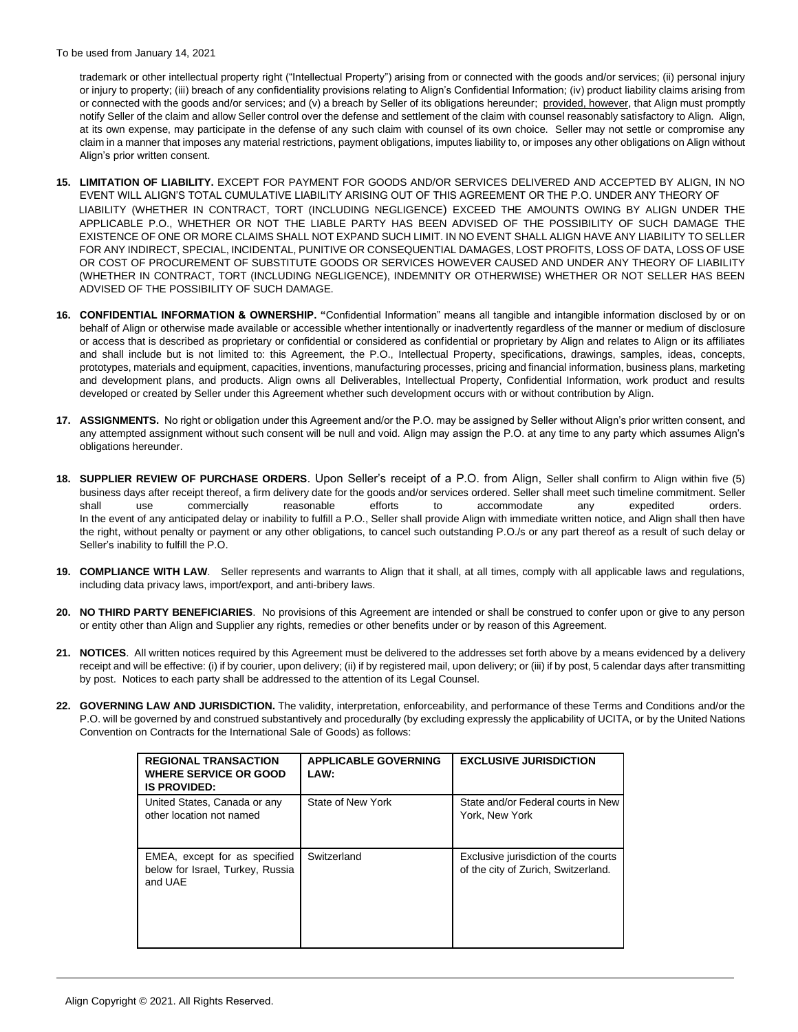trademark or other intellectual property right ("Intellectual Property") arising from or connected with the goods and/or services; (ii) personal injury or injury to property; (iii) breach of any confidentiality provisions relating to Align's Confidential Information; (iv) product liability claims arising from or connected with the goods and/or services; and (v) a breach by Seller of its obligations hereunder; provided, however, that Align must promptly notify Seller of the claim and allow Seller control over the defense and settlement of the claim with counsel reasonably satisfactory to Align. Align, at its own expense, may participate in the defense of any such claim with counsel of its own choice. Seller may not settle or compromise any claim in a manner that imposes any material restrictions, payment obligations, imputes liability to, or imposes any other obligations on Align without Align's prior written consent.

- **15. LIMITATION OF LIABILITY.** EXCEPT FOR PAYMENT FOR GOODS AND/OR SERVICES DELIVERED AND ACCEPTED BY ALIGN, IN NO EVENT WILL ALIGN'S TOTAL CUMULATIVE LIABILITY ARISING OUT OF THIS AGREEMENT OR THE P.O. UNDER ANY THEORY OF LIABILITY (WHETHER IN CONTRACT, TORT (INCLUDING NEGLIGENCE) EXCEED THE AMOUNTS OWING BY ALIGN UNDER THE APPLICABLE P.O., WHETHER OR NOT THE LIABLE PARTY HAS BEEN ADVISED OF THE POSSIBILITY OF SUCH DAMAGE THE EXISTENCE OF ONE OR MORE CLAIMS SHALL NOT EXPAND SUCH LIMIT. IN NO EVENT SHALL ALIGN HAVE ANY LIABILITY TO SELLER FOR ANY INDIRECT, SPECIAL, INCIDENTAL, PUNITIVE OR CONSEQUENTIAL DAMAGES, LOST PROFITS, LOSS OF DATA, LOSS OF USE OR COST OF PROCUREMENT OF SUBSTITUTE GOODS OR SERVICES HOWEVER CAUSED AND UNDER ANY THEORY OF LIABILITY (WHETHER IN CONTRACT, TORT (INCLUDING NEGLIGENCE), INDEMNITY OR OTHERWISE) WHETHER OR NOT SELLER HAS BEEN ADVISED OF THE POSSIBILITY OF SUCH DAMAGE.
- **16. CONFIDENTIAL INFORMATION & OWNERSHIP. "**Confidential Information" means all tangible and intangible information disclosed by or on behalf of Align or otherwise made available or accessible whether intentionally or inadvertently regardless of the manner or medium of disclosure or access that is described as proprietary or confidential or considered as confidential or proprietary by Align and relates to Align or its affiliates and shall include but is not limited to: this Agreement, the P.O., Intellectual Property, specifications, drawings, samples, ideas, concepts, prototypes, materials and equipment, capacities, inventions, manufacturing processes, pricing and financial information, business plans, marketing and development plans, and products. Align owns all Deliverables, Intellectual Property, Confidential Information, work product and results developed or created by Seller under this Agreement whether such development occurs with or without contribution by Align.
- **17. ASSIGNMENTS.** No right or obligation under this Agreement and/or the P.O. may be assigned by Seller without Align's prior written consent, and any attempted assignment without such consent will be null and void. Align may assign the P.O. at any time to any party which assumes Align's obligations hereunder.
- **18. SUPPLIER REVIEW OF PURCHASE ORDERS**. Upon Seller's receipt of a P.O. from Align, Seller shall confirm to Align within five (5) business days after receipt thereof, a firm delivery date for the goods and/or services ordered. Seller shall meet such timeline commitment. Seller shall use commercially reasonable efforts to accommodate any expedited orders. In the event of any anticipated delay or inability to fulfill a P.O., Seller shall provide Align with immediate written notice, and Align shall then have the right, without penalty or payment or any other obligations, to cancel such outstanding P.O./s or any part thereof as a result of such delay or Seller's inability to fulfill the P.O.
- **19. COMPLIANCE WITH LAW**. Seller represents and warrants to Align that it shall, at all times, comply with all applicable laws and regulations, including data privacy laws, import/export, and anti-bribery laws.
- **20. NO THIRD PARTY BENEFICIARIES**. No provisions of this Agreement are intended or shall be construed to confer upon or give to any person or entity other than Align and Supplier any rights, remedies or other benefits under or by reason of this Agreement.
- **21. NOTICES**. All written notices required by this Agreement must be delivered to the addresses set forth above by a means evidenced by a delivery receipt and will be effective: (i) if by courier, upon delivery; (ii) if by registered mail, upon delivery; or (iii) if by post, 5 calendar days after transmitting by post. Notices to each party shall be addressed to the attention of its Legal Counsel.
- **22. GOVERNING LAW AND JURISDICTION.** The validity, interpretation, enforceability, and performance of these Terms and Conditions and/or the P.O. will be governed by and construed substantively and procedurally (by excluding expressly the applicability of UCITA, or by the United Nations Convention on Contracts for the International Sale of Goods) as follows:

| <b>REGIONAL TRANSACTION</b><br><b>WHERE SERVICE OR GOOD</b><br><b>IS PROVIDED:</b> | <b>APPLICABLE GOVERNING</b><br>LAW: | <b>EXCLUSIVE JURISDICTION</b>                                               |
|------------------------------------------------------------------------------------|-------------------------------------|-----------------------------------------------------------------------------|
| United States, Canada or any<br>other location not named                           | State of New York                   | State and/or Federal courts in New<br>York, New York                        |
| EMEA, except for as specified<br>below for Israel, Turkey, Russia<br>and UAE       | Switzerland                         | Exclusive jurisdiction of the courts<br>of the city of Zurich, Switzerland. |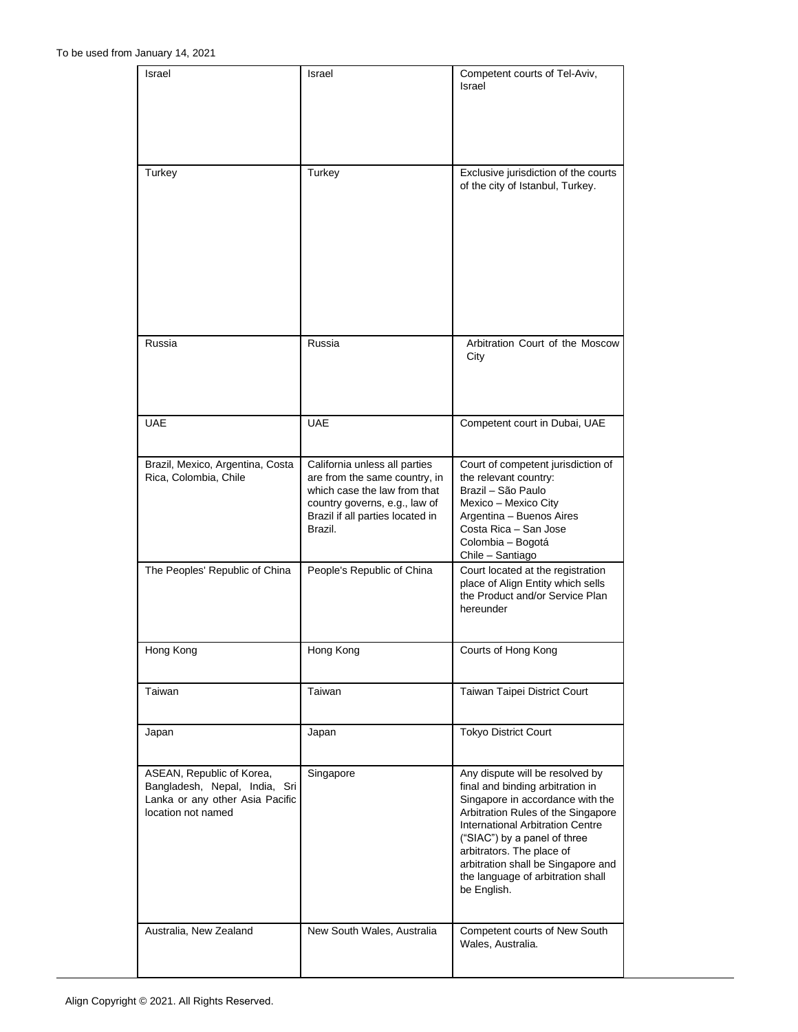| Israel                                                                                                              | Israel                                                                                                                                                                         | Competent courts of Tel-Aviv,<br>Israel                                                                                                                                                                                                                                                                                                         |
|---------------------------------------------------------------------------------------------------------------------|--------------------------------------------------------------------------------------------------------------------------------------------------------------------------------|-------------------------------------------------------------------------------------------------------------------------------------------------------------------------------------------------------------------------------------------------------------------------------------------------------------------------------------------------|
| Turkey                                                                                                              | Turkey                                                                                                                                                                         | Exclusive jurisdiction of the courts                                                                                                                                                                                                                                                                                                            |
|                                                                                                                     |                                                                                                                                                                                | of the city of Istanbul, Turkey.                                                                                                                                                                                                                                                                                                                |
| Russia                                                                                                              | Russia                                                                                                                                                                         | Arbitration Court of the Moscow<br>City                                                                                                                                                                                                                                                                                                         |
| <b>UAE</b>                                                                                                          | <b>UAE</b>                                                                                                                                                                     | Competent court in Dubai, UAE                                                                                                                                                                                                                                                                                                                   |
| Brazil, Mexico, Argentina, Costa<br>Rica, Colombia, Chile                                                           | California unless all parties<br>are from the same country, in<br>which case the law from that<br>country governs, e.g., law of<br>Brazil if all parties located in<br>Brazil. | Court of competent jurisdiction of<br>the relevant country:<br>Brazil - São Paulo<br>Mexico - Mexico City<br>Argentina - Buenos Aires<br>Costa Rica - San Jose<br>Colombia - Bogotá<br>Chile - Santiago                                                                                                                                         |
| The Peoples' Republic of China                                                                                      | People's Republic of China                                                                                                                                                     | Court located at the registration<br>place of Align Entity which sells<br>the Product and/or Service Plan<br>hereunder                                                                                                                                                                                                                          |
| Hong Kong                                                                                                           | Hong Kong                                                                                                                                                                      | Courts of Hong Kong                                                                                                                                                                                                                                                                                                                             |
| Taiwan                                                                                                              | Taiwan                                                                                                                                                                         | Taiwan Taipei District Court                                                                                                                                                                                                                                                                                                                    |
| Japan                                                                                                               | Japan                                                                                                                                                                          | <b>Tokyo District Court</b>                                                                                                                                                                                                                                                                                                                     |
| ASEAN, Republic of Korea,<br>Bangladesh, Nepal, India, Sri<br>Lanka or any other Asia Pacific<br>location not named | Singapore                                                                                                                                                                      | Any dispute will be resolved by<br>final and binding arbitration in<br>Singapore in accordance with the<br>Arbitration Rules of the Singapore<br><b>International Arbitration Centre</b><br>("SIAC") by a panel of three<br>arbitrators. The place of<br>arbitration shall be Singapore and<br>the language of arbitration shall<br>be English. |
| Australia, New Zealand                                                                                              | New South Wales, Australia                                                                                                                                                     | Competent courts of New South<br>Wales, Australia.                                                                                                                                                                                                                                                                                              |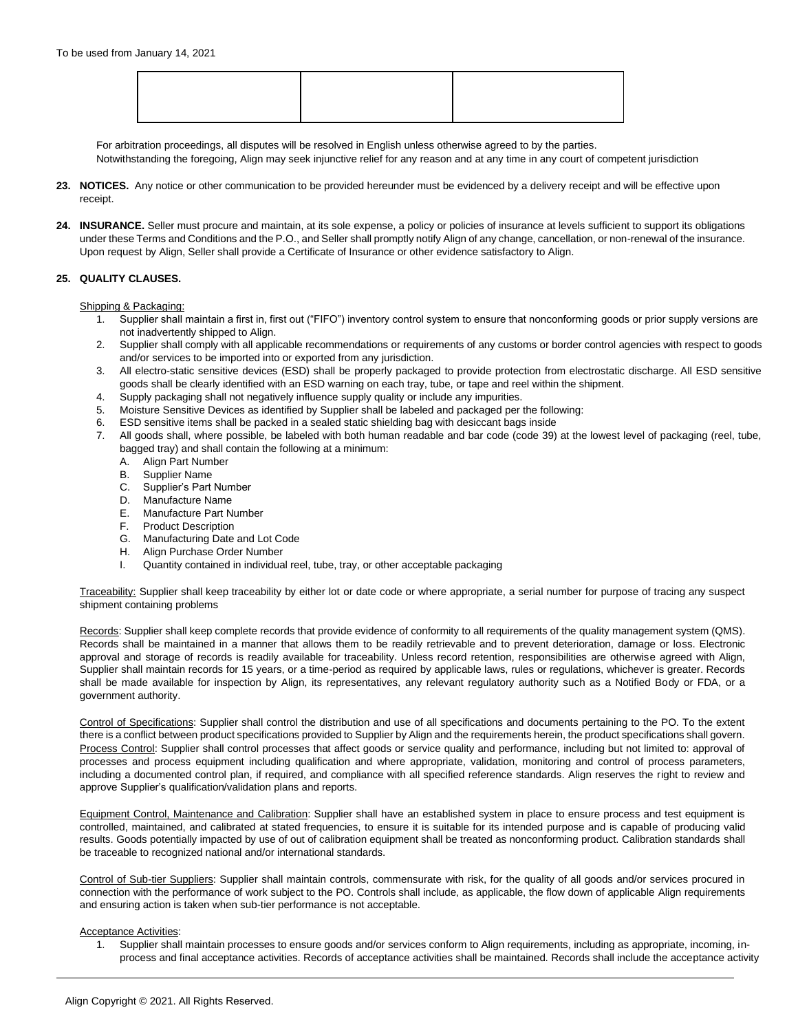For arbitration proceedings, all disputes will be resolved in English unless otherwise agreed to by the parties.

Notwithstanding the foregoing, Align may seek injunctive relief for any reason and at any time in any court of competent jurisdiction

- **23. NOTICES.** Any notice or other communication to be provided hereunder must be evidenced by a delivery receipt and will be effective upon receipt.
- 24. **INSURANCE.** Seller must procure and maintain, at its sole expense, a policy or policies of insurance at levels sufficient to support its obligations under these Terms and Conditions and the P.O., and Seller shall promptly notify Align of any change, cancellation, or non-renewal of the insurance. Upon request by Align, Seller shall provide a Certificate of Insurance or other evidence satisfactory to Align.

### **25. QUALITY CLAUSES.**

Shipping & Packaging:

- 1. Supplier shall maintain a first in, first out ("FIFO") inventory control system to ensure that nonconforming goods or prior supply versions are not inadvertently shipped to Align.
- 2. Supplier shall comply with all applicable recommendations or requirements of any customs or border control agencies with respect to goods and/or services to be imported into or exported from any jurisdiction.
- 3. All electro-static sensitive devices (ESD) shall be properly packaged to provide protection from electrostatic discharge. All ESD sensitive goods shall be clearly identified with an ESD warning on each tray, tube, or tape and reel within the shipment.
- 4. Supply packaging shall not negatively influence supply quality or include any impurities.
- 5. Moisture Sensitive Devices as identified by Supplier shall be labeled and packaged per the following:
- 6. ESD sensitive items shall be packed in a sealed static shielding bag with desiccant bags inside
- 7. All goods shall, where possible, be labeled with both human readable and bar code (code 39) at the lowest level of packaging (reel, tube, bagged tray) and shall contain the following at a minimum:<br>
A. Align Part Number<br>
B. Supplier Name
	- **Align Part Number**
	- Supplier Name
	- C. Supplier's Part Number
	- D. Manufacture Name
	- E. Manufacture Part Number
	- F. Product Description
	- G. Manufacturing Date and Lot Code
	- H. Align Purchase Order Number
	- I. Quantity contained in individual reel, tube, tray, or other acceptable packaging

Traceability: Supplier shall keep traceability by either lot or date code or where appropriate, a serial number for purpose of tracing any suspect shipment containing problems

Records: Supplier shall keep complete records that provide evidence of conformity to all requirements of the quality management system (QMS). Records shall be maintained in a manner that allows them to be readily retrievable and to prevent deterioration, damage or loss. Electronic approval and storage of records is readily available for traceability. Unless record retention, responsibilities are otherwise agreed with Align, Supplier shall maintain records for 15 years, or a time-period as required by applicable laws, rules or regulations, whichever is greater. Records shall be made available for inspection by Align, its representatives, any relevant regulatory authority such as a Notified Body or FDA, or a government authority.

Control of Specifications: Supplier shall control the distribution and use of all specifications and documents pertaining to the PO. To the extent there is a conflict between product specifications provided to Supplier by Align and the requirements herein, the product specifications shall govern. Process Control: Supplier shall control processes that affect goods or service quality and performance, including but not limited to: approval of processes and process equipment including qualification and where appropriate, validation, monitoring and control of process parameters, including a documented control plan, if required, and compliance with all specified reference standards. Align reserves the right to review and approve Supplier's qualification/validation plans and reports.

Equipment Control, Maintenance and Calibration: Supplier shall have an established system in place to ensure process and test equipment is controlled, maintained, and calibrated at stated frequencies, to ensure it is suitable for its intended purpose and is capable of producing valid results. Goods potentially impacted by use of out of calibration equipment shall be treated as nonconforming product. Calibration standards shall be traceable to recognized national and/or international standards.

Control of Sub-tier Suppliers: Supplier shall maintain controls, commensurate with risk, for the quality of all goods and/or services procured in connection with the performance of work subject to the PO. Controls shall include, as applicable, the flow down of applicable Align requirements and ensuring action is taken when sub-tier performance is not acceptable.

### Acceptance Activities:

1. Supplier shall maintain processes to ensure goods and/or services conform to Align requirements, including as appropriate, incoming, inprocess and final acceptance activities. Records of acceptance activities shall be maintained. Records shall include the acceptance activity